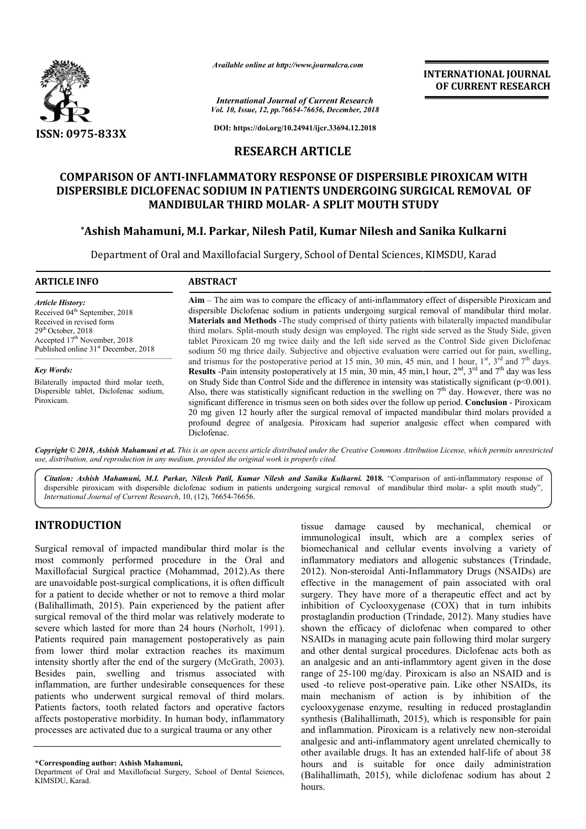

*Available online at http://www.journalcra.com*

**INTERNATIONAL JOURNAL OF CURRENT RESEARCH**

*Vol. 10, Issue, 12, pp. pp.76654-76656, December, 2018 International Journal of Current Research*

**DOI: https://doi.org/10.24941/ijcr.33694.12.2018**

# **RESEARCH ARTICLE**

# COMPARISON OF ANTI-INFLAMMATORY RESPONSE OF DISPERSIBLE PIROXICAM WITH<br>DISPERSIBLE DICLOFENAC SODIUM IN PATIENTS UNDERGOING SURGICAL REMOVAL OF **DISPERSIBLE DICLOFENAC SODIUM IN PATIENTS UNDERGOING REMOVAL MOUTH STUDY MANDIBULAR THIRD MOLAR MOLAR- A SPLIT MOUTH STUDY**

# **\*Ashish Mahamuni, M.I. Parkar, Nilesh Patil, Kumar Nilesh and Sanika Kulkarni Ashish Nilesh and**

Department of Oral and Maxillofacial Surgery, School of Dental Sciences, KIMSDU, Karad

#### **ARTICLE INFO ABSTRACT Aim** – The aim was to compare the efficacy of anti-inflammatory effect of dispersible Piroxicam and dispersible Diclofenac sodium in patients undergoing surgical removal of mandibular third molar. **Materials and Methods** -The study comprised of thirty patients w *Article History:* Received 04<sup>th</sup> September, 2018 Received in revised form Aim – The aim was to compare the efficacy of anti-inflammatory effect of dispersible Piroxicam and dispersible Diclofenac sodium in patients undergoing surgical removal of mandibular third molar.<br>Materials and Methods - Th

29th October, 2018 Accepted 17<sup>th</sup> November, 2018 Published online 31<sup>st</sup> December, 2018

*Key Words:* Bilaterally impacted third molar teeth, Dispersible tablet, Diclofenac sodium, Piroxicam.

third molars. Split Split-mouth study design was employed. The right side served as the Study Side, given tablet Piroxicam 20 mg twice daily and the left side served as the Control Side given Diclofenac sodium 50 mg thrice daily. Subjective and objective evaluation were carried out for pain, swelling, and trismus for the postoperative period at 15 min, 30 min, 45 min, and 1 hour, 1 **Results**  -Pain intensity postoperatively at 15 min, 30 min, 45 min,1 hour, 2 on Study Side than Control Side and the difference in intensity was statistically significant (p<0.001). on Study Side than Control Side and the difference in intensity was statistically significant ( $p<0.001$ ).<br>Also, there was statistically significant reduction in the swelling on  $7<sup>th</sup>$  day. However, there was no significant difference in trismus seen on both sides over the follow up period. Conclusion - Piroxicam 20 mg given 12 hourly after the surgical removal of impacted mandibular third molars provided a 20 mg given 12 hourly after the surgical removal of impacted mandibular third molars provided a profound degree of analgesia. Piroxicam had superior analgesic effect when compared with Diclofenac. third molars. Split-mouth study design was employed. The right side served as the Study Side, given tablet Piroxicam 20 mg twice daily and the left side served as the Control Side given Diclofenac sodium 50 mg thrice dail Pain intensity postoperatively at 15 min, 30 min, 45 min, 1 hour,  $2<sup>nd</sup>$ ,  $3<sup>rd</sup>$  and  $7<sup>th</sup>$  day was less

Copyright © 2018, Ashish Mahamuni et al. This is an open access article distributed under the Creative Commons Attribution License, which permits unrestrictea *use, distribution, and reproduction in any medium, provided the original work is properly cited.*

Citation: Ashish Mahamuni, M.I. Parkar, Nilesh Patil, Kumar Nilesh and Sanika Kulkarni. 2018. "Comparison of anti-inflammatory response of dispersible piroxicam with dispersible diclofenac sodium in patients undergoing surgical removal of mandibular third molar- a split mouth study", *International Journal of Current Research*, 10, (12), 76654 76654-76656.

# **INTRODUCTION**

Surgical removal of impacted mandibular third molar is the most commonly performed procedure in the Oral and Maxillofacial Surgical practice (Mohammad, 2012).As there are unavoidable post-surgical complications, it is often difficult for a patient to decide whether or not to remove a third molar (Balihallimath, 2015). Pain experienced by the patient after surgical removal of the third molar was relatively moderate to severe which lasted for more than 24 hours (Nørholt, 1991). Patients required pain management postoperatively as pain from lower third molar extraction reaches its maximum intensity shortly after the end of the surgery (McGrath, 2003). Besides pain, swelling and trismus associated with inflammation, are further undesirable consequences for these patients who underwent surgical removal of third molars. Patients factors, tooth related factors and operative factors affects postoperative morbidity. In human body, inflammatory processes are activated due to a surgical trauma or any other surgical complications, it is often difficult<br>e whether or not to remove a third molar<br>). Pain experienced by the patient after<br>he third molar was relatively moderate to<br>for more than 24 hours (Nørholt, 1991). nt postoperatively as pain<br>on reaches its maximum<br>e surgery (McGrath, 2003).

tissue damage caused by mechanical, chemical or<br>
imumological insult, which are a complex series of<br>
ed procedure in the Oral and inflammatory mediators and cellular events involving a variety of<br>
ed procedure in the Oral immunological insult, which are a complex series of biomechanical and cellular events involving a variety of inflammatory mediators and allogenic substances (Trindade, 2012). Non-steroidal Anti-Inflammatory Drugs (NSAIDs) are effective in the management of pain associated with oral surgery. They have more of a therapeutic effect and act by inhibition of Cyclooxygenase  $(COX)$  that in turn inhibits prostaglandin production (Trindade, 2012). Many studies have shown the efficacy of diclofenac when compared to other NSAIDs in managing acute pain following third molar surgery and other dental surgical procedures. Diclofenac acts both as an analgesic and an anti-inflammtory agent given in the dos range of 25-100 mg/day. Piroxicam is also an NSAID and is used -to relieve post-operative pain. Like other NSAIDs, its main mechanism of action is by inhibition of the cyclooxygenase enzyme, resulting in reduced prostaglandin range of 25-100 mg/day. Piroxicam is also an NSAID and is used -to relieve post-operative pain. Like other NSAIDs, its main mechanism of action is by inhibition of the cyclooxygenase enzyme, resulting in reduced prostaglan and inflammation. Piroxicam is a relatively new non-steroidal analgesic and anti-inflammatory agent unrelated chemically to analgesic and anti-inflammatory agent unrelated chemically to other available drugs. It has an extended half-life of about 38 hours and is suitable for once daily administration (Balihallimath, 2015), while diclofenac sodium has about 2 hours. damage caused by mechanical, chemical or logical insult, which are a complex series of anical and cellular events involving a variety of atory mediators and allogenic substances (Trindade, Inflammatory Drugs (NSAIDs) are<br>Internative management of pain associated with oral<br>Internative more of a therapeutic effect and act by shown the efficacy of diclofenac when compared to other NSAIDs in managing acute pain following third molar surgery and other dental surgical procedures. Diclofenac acts both as an analgesic and an anti-inflammtory agent g **INTERNATIONAL JOURNAL CONTRATE CONTRATE CONTRATE CONTRATE CONTRATE CONTRATE CONTRATE CONTRATE CONTRATE CONTRATE SURGICAL REMOVAL OF STUDY and Sanika Kulkarni ences, KIMSDU, Karad mentory effect of dispersible Piroxican a** 

**<sup>\*</sup>Corresponding author: Ashish Mahamuni,**

Department of Oral and Maxillofacial Surgery, School of Dental Sciences, KIMSDU, Karad.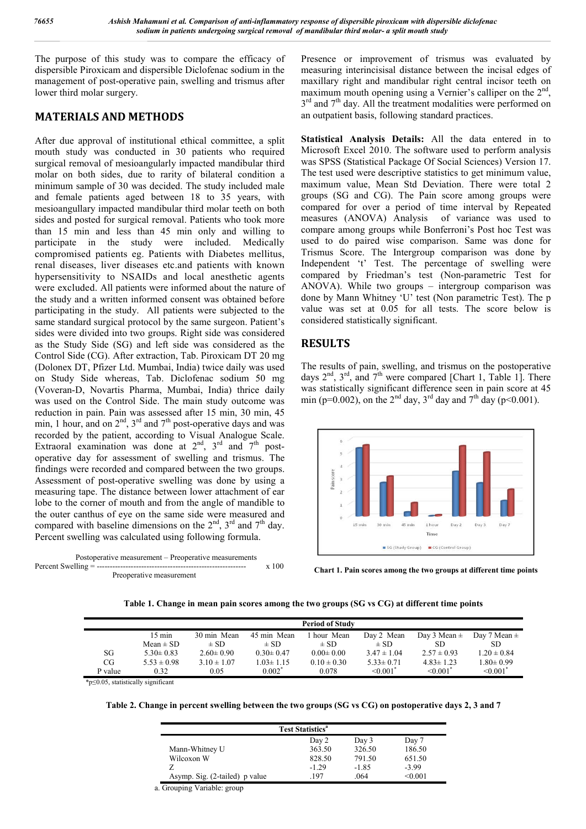The purpose of this study was to compare the efficacy of dispersible Piroxicam and dispersible Diclofenac sodium in the management of post-operative pain, swelling and trismus after lower third molar surgery.

## **MATERIALS AND METHODS**

After due approval of institutional ethical committee, a split mouth study was conducted in 30 patients who required surgical removal of mesioangularly impacted mandibular third molar on both sides, due to rarity of bilateral condition a minimum sample of 30 was decided. The study included male and female patients aged between 18 to 35 years, with mesioangullary impacted mandibular third molar teeth on both sides and posted for surgical removal. Patients who took more than 15 min and less than 45 min only and willing to participate in the study were included. Medically compromised patients eg. Patients with Diabetes mellitus, renal diseases, liver diseases etc.and patients with known hypersensitivity to NSAIDs and local anesthetic agents were excluded. All patients were informed about the nature of the study and a written informed consent was obtained before participating in the study. All patients were subjected to the same standard surgical protocol by the same surgeon. Patient's sides were divided into two groups. Right side was considered as the Study Side (SG) and left side was considered as the Control Side (CG). After extraction, Tab. Piroxicam DT 20 mg (Dolonex DT, Pfizer Ltd. Mumbai, India) twice daily was used on Study Side whereas, Tab. Diclofenac sodium 50 mg (Voveran-D, Novartis Pharma, Mumbai, India) thrice daily was used on the Control Side. The main study outcome was reduction in pain. Pain was assessed after 15 min, 30 min, 45 min, 1 hour, and on  $2<sup>nd</sup>$ ,  $3<sup>rd</sup>$  and  $7<sup>th</sup>$  post-operative days and was recorded by the patient, according to Visual Analogue Scale. Extraoral examination was done at  $2<sup>nd</sup>$ ,  $3<sup>rd</sup>$  and  $7<sup>th</sup>$  postoperative day for assessment of swelling and trismus. The findings were recorded and compared between the two groups. Assessment of post-operative swelling was done by using a measuring tape. The distance between lower attachment of ear lobe to the corner of mouth and from the angle of mandible to the outer canthus of eye on the same side were measured and compared with baseline dimensions on the  $2<sup>nd</sup>$ ,  $3<sup>rd</sup>$  and  $7<sup>th</sup>$  day. Percent swelling was calculated using following formula.



Presence or improvement of trismus was evaluated by measuring interincisisal distance between the incisal edges of maxillary right and mandibular right central incisor teeth on maximum mouth opening using a Vernier's calliper on the  $2<sup>nd</sup>$ , 3<sup>rd</sup> and 7<sup>th</sup> day. All the treatment modalities were performed on an outpatient basis, following standard practices.

**Statistical Analysis Details:** All the data entered in to Microsoft Excel 2010. The software used to perform analysis was SPSS (Statistical Package Of Social Sciences) Version 17. The test used were descriptive statistics to get minimum value, maximum value, Mean Std Deviation. There were total 2 groups (SG and CG). The Pain score among groups were compared for over a period of time interval by Repeated measures (ANOVA) Analysis of variance was used to compare among groups while Bonferroni's Post hoc Test was used to do paired wise comparison. Same was done for Trismus Score. The Intergroup comparison was done by Independent 't' Test. The percentage of swelling were compared by Friedman's test (Non-parametric Test for ANOVA). While two groups – intergroup comparison was done by Mann Whitney 'U' test (Non parametric Test). The p value was set at  $0.05$  for all tests. The score below is considered statistically significant.

# **RESULTS**

The results of pain, swelling, and trismus on the postoperative days  $2<sup>nd</sup>$ ,  $3<sup>rd</sup>$ , and  $7<sup>th</sup>$  were compared [Chart 1, Table 1]. There was statistically significant difference seen in pain score at 45 min (p=0.002), on the 2<sup>nd</sup> day, 3<sup>rd</sup> day and 7<sup>th</sup> day (p<0.001).





|  | Table 1. Change in mean pain scores among the two groups (SG vs CG) at different time points |  |  |  |  |  |  |
|--|----------------------------------------------------------------------------------------------|--|--|--|--|--|--|
|--|----------------------------------------------------------------------------------------------|--|--|--|--|--|--|

|         |                  |                 |                 | <b>Period of Study</b> |                           |                           |                           |
|---------|------------------|-----------------|-----------------|------------------------|---------------------------|---------------------------|---------------------------|
|         | $15 \text{ min}$ | 30 min Mean     | 45 min Mean     | hour Mean              | Day 2 Mean                | Day 3 Mean $\pm$          | Day 7 Mean $\pm$          |
|         | Mean $\pm$ SD    | $\pm$ SD        | $\pm$ SD        | $\pm$ SD               | $\pm$ SD                  | SD                        | SD                        |
| SG      | $5.30 \pm 0.83$  | $2.60 \pm 0.90$ | $0.30 \pm 0.47$ | $0.00 \pm 0.00$        | $3.47 \pm 1.04$           | $2.57 \pm 0.93$           | $1.20 \pm 0.84$           |
| CG      | $5.53 \pm 0.98$  | $3.10 \pm 1.07$ | $1.03 \pm 1.15$ | $0.10 \pm 0.30$        | $5.33 \pm 0.71$           | $4.83 \pm 1.23$           | $1.80 \pm 0.99$           |
| P value | 0.32             | 0.05            | $0.002*$        | 0.078                  | $\leq 0.001$ <sup>*</sup> | $\leq 0.001$ <sup>*</sup> | $\leq 0.001$ <sup>*</sup> |

\*p≤0.05, statistically significant

**Table 2. Change in percent swelling between the two groups (SG vs CG) on postoperative days 2, 3 and 7**

|                                | <b>Test Statistics<sup>a</sup></b> |         |         |
|--------------------------------|------------------------------------|---------|---------|
|                                | Day 2                              | Day 3   | Day 7   |
| Mann-Whitney U                 | 363.50                             | 326.50  | 186.50  |
| Wilcoxon W                     | 828.50                             | 791.50  | 651.50  |
|                                | $-1.29$                            | $-1.85$ | $-3.99$ |
| Asymp. Sig. (2-tailed) p value | 197                                | .064    | < 0.001 |

a. Grouping Variable: group